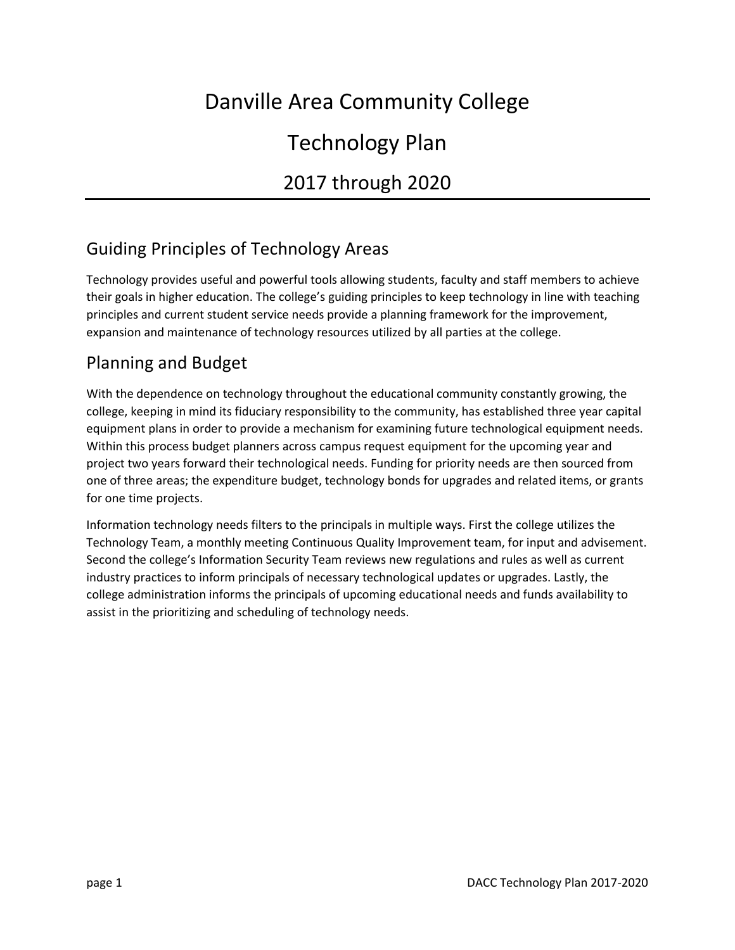# Danville Area Community College

# Technology Plan

# 2017 through 2020

## Guiding Principles of Technology Areas

Technology provides useful and powerful tools allowing students, faculty and staff members to achieve their goals in higher education. The college's guiding principles to keep technology in line with teaching principles and current student service needs provide a planning framework for the improvement, expansion and maintenance of technology resources utilized by all parties at the college.

#### Planning and Budget

With the dependence on technology throughout the educational community constantly growing, the college, keeping in mind its fiduciary responsibility to the community, has established three year capital equipment plans in order to provide a mechanism for examining future technological equipment needs. Within this process budget planners across campus request equipment for the upcoming year and project two years forward their technological needs. Funding for priority needs are then sourced from one of three areas; the expenditure budget, technology bonds for upgrades and related items, or grants for one time projects.

Information technology needs filters to the principals in multiple ways. First the college utilizes the Technology Team, a monthly meeting Continuous Quality Improvement team, for input and advisement. Second the college's Information Security Team reviews new regulations and rules as well as current industry practices to inform principals of necessary technological updates or upgrades. Lastly, the college administration informs the principals of upcoming educational needs and funds availability to assist in the prioritizing and scheduling of technology needs.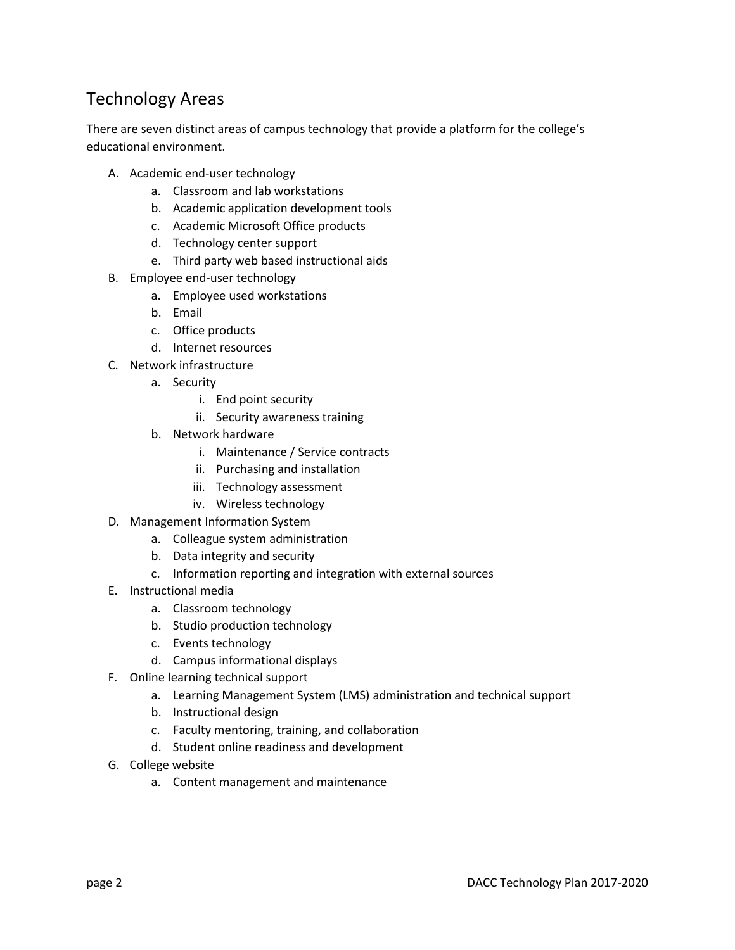### Technology Areas

There are seven distinct areas of campus technology that provide a platform for the college's educational environment.

- A. Academic end-user technology
	- a. Classroom and lab workstations
	- b. Academic application development tools
	- c. Academic Microsoft Office products
	- d. Technology center support
	- e. Third party web based instructional aids
- B. Employee end-user technology
	- a. Employee used workstations
	- b. Email
	- c. Office products
	- d. Internet resources
- C. Network infrastructure
	- a. Security
		- i. End point security
		- ii. Security awareness training
	- b. Network hardware
		- i. Maintenance / Service contracts
		- ii. Purchasing and installation
		- iii. Technology assessment
		- iv. Wireless technology
- D. Management Information System
	- a. Colleague system administration
	- b. Data integrity and security
	- c. Information reporting and integration with external sources
- E. Instructional media
	- a. Classroom technology
	- b. Studio production technology
	- c. Events technology
	- d. Campus informational displays
- F. Online learning technical support
	- a. Learning Management System (LMS) administration and technical support
	- b. Instructional design
	- c. Faculty mentoring, training, and collaboration
	- d. Student online readiness and development
- G. College website
	- a. Content management and maintenance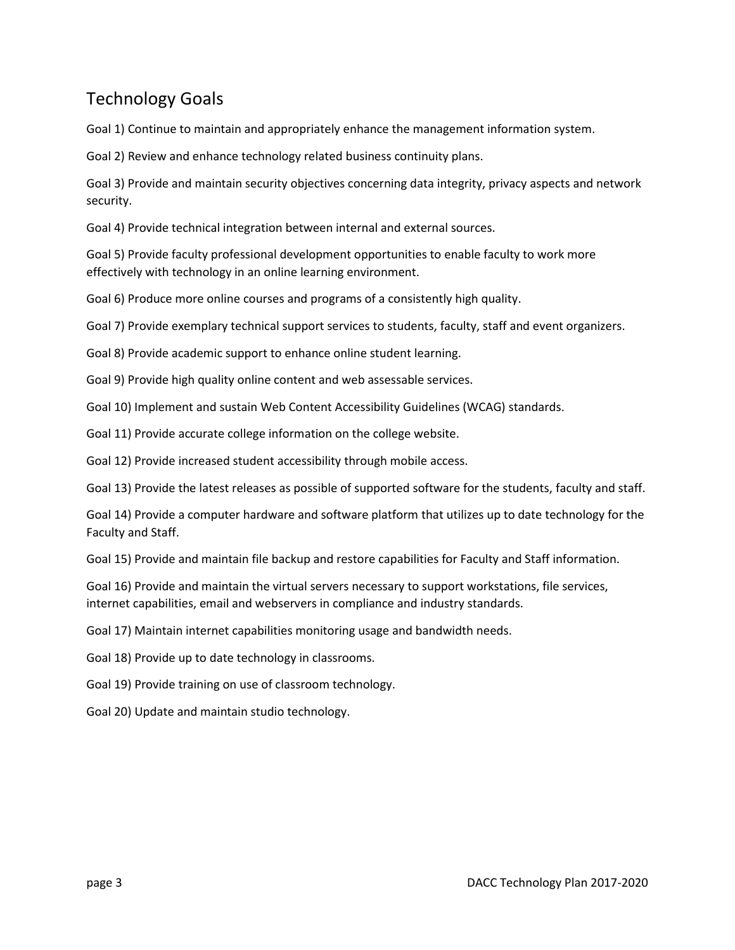## Technology Goals

Goal 1) Continue to maintain and appropriately enhance the management information system.

Goal 2) Review and enhance technology related business continuity plans.

Goal 3) Provide and maintain security objectives concerning data integrity, privacy aspects and network security.

Goal 4) Provide technical integration between internal and external sources.

Goal 5) Provide faculty professional development opportunities to enable faculty to work more effectively with technology in an online learning environment.

Goal 6) Produce more online courses and programs of a consistently high quality.

Goal 7) Provide exemplary technical support services to students, faculty, staff and event organizers.

Goal 8) Provide academic support to enhance online student learning.

Goal 9) Provide high quality online content and web assessable services.

Goal 10) Implement and sustain Web Content Accessibility Guidelines (WCAG) standards.

Goal 11) Provide accurate college information on the college website.

Goal 12) Provide increased student accessibility through mobile access.

Goal 13) Provide the latest releases as possible of supported software for the students, faculty and staff.

Goal 14) Provide a computer hardware and software platform that utilizes up to date technology for the Faculty and Staff.

Goal 15) Provide and maintain file backup and restore capabilities for Faculty and Staff information.

Goal 16) Provide and maintain the virtual servers necessary to support workstations, file services, internet capabilities, email and webservers in compliance and industry standards.

Goal 17) Maintain internet capabilities monitoring usage and bandwidth needs.

Goal 18) Provide up to date technology in classrooms.

Goal 19) Provide training on use of classroom technology.

Goal 20) Update and maintain studio technology.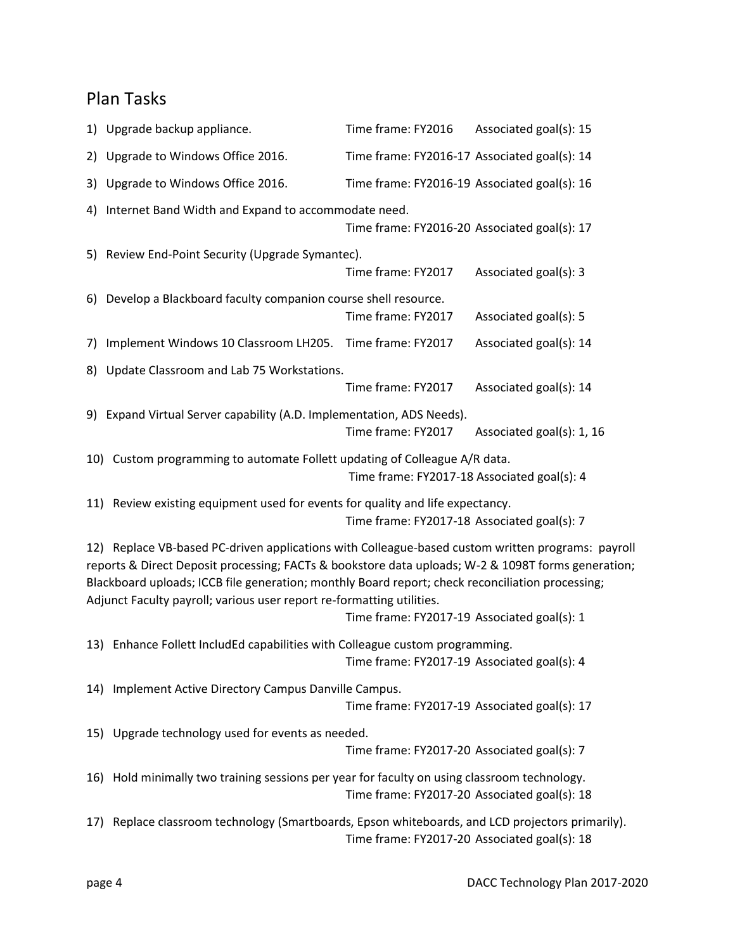### Plan Tasks

|                                                                                                                                                                                                                                                                                                                                                                                                                                     | 1) Upgrade backup appliance.                                                                                                                 | Time frame: FY2016                           | Associated goal(s): 15    |  |  |  |
|-------------------------------------------------------------------------------------------------------------------------------------------------------------------------------------------------------------------------------------------------------------------------------------------------------------------------------------------------------------------------------------------------------------------------------------|----------------------------------------------------------------------------------------------------------------------------------------------|----------------------------------------------|---------------------------|--|--|--|
| 2)                                                                                                                                                                                                                                                                                                                                                                                                                                  | Upgrade to Windows Office 2016.                                                                                                              | Time frame: FY2016-17 Associated goal(s): 14 |                           |  |  |  |
| 3)                                                                                                                                                                                                                                                                                                                                                                                                                                  | Upgrade to Windows Office 2016.                                                                                                              | Time frame: FY2016-19 Associated goal(s): 16 |                           |  |  |  |
| 4)                                                                                                                                                                                                                                                                                                                                                                                                                                  | Internet Band Width and Expand to accommodate need.                                                                                          | Time frame: FY2016-20 Associated goal(s): 17 |                           |  |  |  |
|                                                                                                                                                                                                                                                                                                                                                                                                                                     | 5) Review End-Point Security (Upgrade Symantec).                                                                                             | Time frame: FY2017                           | Associated goal(s): 3     |  |  |  |
| 6)                                                                                                                                                                                                                                                                                                                                                                                                                                  | Develop a Blackboard faculty companion course shell resource.                                                                                | Time frame: FY2017                           | Associated goal(s): 5     |  |  |  |
| 7)                                                                                                                                                                                                                                                                                                                                                                                                                                  | Implement Windows 10 Classroom LH205. Time frame: FY2017                                                                                     |                                              | Associated goal(s): 14    |  |  |  |
| 8)                                                                                                                                                                                                                                                                                                                                                                                                                                  | Update Classroom and Lab 75 Workstations.                                                                                                    | Time frame: FY2017                           | Associated goal(s): 14    |  |  |  |
|                                                                                                                                                                                                                                                                                                                                                                                                                                     | 9) Expand Virtual Server capability (A.D. Implementation, ADS Needs).                                                                        | Time frame: FY2017                           | Associated goal(s): 1, 16 |  |  |  |
|                                                                                                                                                                                                                                                                                                                                                                                                                                     | 10) Custom programming to automate Follett updating of Colleague A/R data.<br>Time frame: FY2017-18 Associated goal(s): 4                    |                                              |                           |  |  |  |
| 11)                                                                                                                                                                                                                                                                                                                                                                                                                                 | Review existing equipment used for events for quality and life expectancy.                                                                   | Time frame: FY2017-18 Associated goal(s): 7  |                           |  |  |  |
| 12) Replace VB-based PC-driven applications with Colleague-based custom written programs: payroll<br>reports & Direct Deposit processing; FACTs & bookstore data uploads; W-2 & 1098T forms generation;<br>Blackboard uploads; ICCB file generation; monthly Board report; check reconciliation processing;<br>Adjunct Faculty payroll; various user report re-formatting utilities.<br>Time frame: FY2017-19 Associated goal(s): 1 |                                                                                                                                              |                                              |                           |  |  |  |
|                                                                                                                                                                                                                                                                                                                                                                                                                                     | 13) Enhance Follett IncludEd capabilities with Colleague custom programming.<br>Time frame: FY2017-19 Associated goal(s): 4                  |                                              |                           |  |  |  |
| 14)                                                                                                                                                                                                                                                                                                                                                                                                                                 | Implement Active Directory Campus Danville Campus.                                                                                           | Time frame: FY2017-19 Associated goal(s): 17 |                           |  |  |  |
|                                                                                                                                                                                                                                                                                                                                                                                                                                     | 15) Upgrade technology used for events as needed.                                                                                            | Time frame: FY2017-20 Associated goal(s): 7  |                           |  |  |  |
|                                                                                                                                                                                                                                                                                                                                                                                                                                     | 16) Hold minimally two training sessions per year for faculty on using classroom technology.<br>Time frame: FY2017-20 Associated goal(s): 18 |                                              |                           |  |  |  |
| 17)                                                                                                                                                                                                                                                                                                                                                                                                                                 | Replace classroom technology (Smartboards, Epson whiteboards, and LCD projectors primarily).                                                 | Time frame: FY2017-20 Associated goal(s): 18 |                           |  |  |  |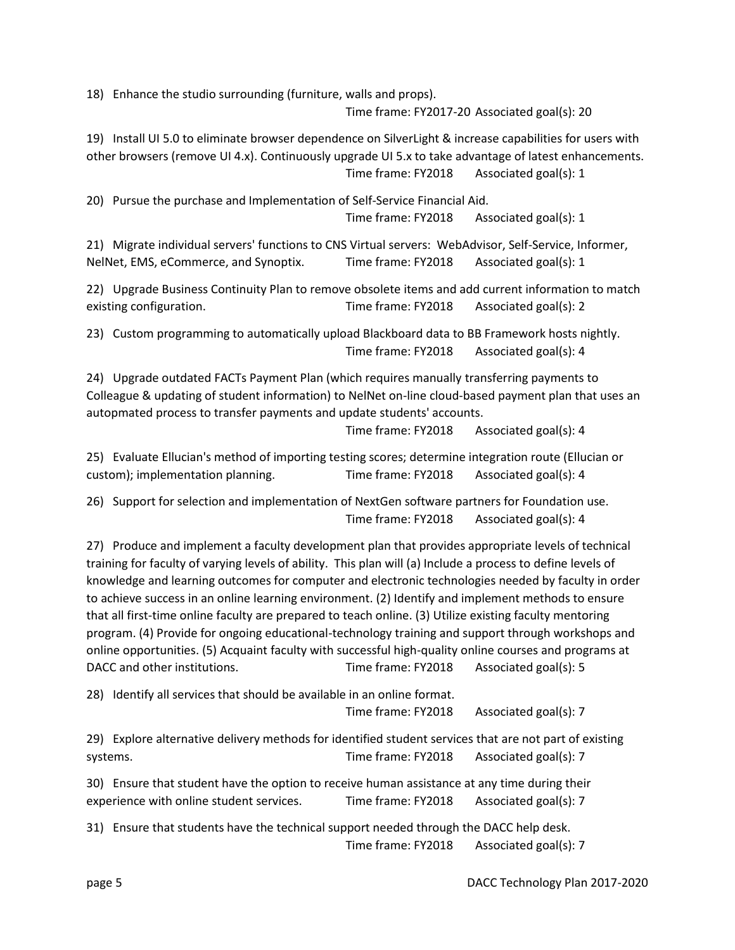18) Enhance the studio surrounding (furniture, walls and props).

Time frame: FY2017-20 Associated goal(s): 20

19) Install UI 5.0 to eliminate browser dependence on SilverLight & increase capabilities for users with other browsers (remove UI 4.x). Continuously upgrade UI 5.x to take advantage of latest enhancements. Time frame: FY2018 Associated goal(s): 1

20) Pursue the purchase and Implementation of Self-Service Financial Aid. Time frame: FY2018 Associated goal(s): 1

21) Migrate individual servers' functions to CNS Virtual servers: WebAdvisor, Self-Service, Informer, NelNet, EMS, eCommerce, and Synoptix. Time frame: FY2018 Associated goal(s): 1

22) Upgrade Business Continuity Plan to remove obsolete items and add current information to match existing configuration. Time frame: FY2018 Associated goal(s): 2

23) Custom programming to automatically upload Blackboard data to BB Framework hosts nightly. Time frame: FY2018 Associated goal(s): 4

24) Upgrade outdated FACTs Payment Plan (which requires manually transferring payments to Colleague & updating of student information) to NelNet on-line cloud-based payment plan that uses an autopmated process to transfer payments and update students' accounts.

Time frame: FY2018 Associated goal(s): 4

25) Evaluate Ellucian's method of importing testing scores; determine integration route (Ellucian or custom); implementation planning. Time frame: FY2018 Associated goal(s): 4

26) Support for selection and implementation of NextGen software partners for Foundation use. Time frame: FY2018 Associated goal(s): 4

27) Produce and implement a faculty development plan that provides appropriate levels of technical training for faculty of varying levels of ability. This plan will (a) Include a process to define levels of knowledge and learning outcomes for computer and electronic technologies needed by faculty in order to achieve success in an online learning environment. (2) Identify and implement methods to ensure that all first-time online faculty are prepared to teach online. (3) Utilize existing faculty mentoring program. (4) Provide for ongoing educational-technology training and support through workshops and online opportunities. (5) Acquaint faculty with successful high-quality online courses and programs at DACC and other institutions. Time frame: FY2018 Associated goal(s): 5

28) Identify all services that should be available in an online format.

Time frame: FY2018 Associated goal(s): 7

29) Explore alternative delivery methods for identified student services that are not part of existing systems. Time frame: FY2018 Associated goal(s): 7

30) Ensure that student have the option to receive human assistance at any time during their experience with online student services. Time frame: FY2018 Associated goal(s): 7

31) Ensure that students have the technical support needed through the DACC help desk. Time frame: FY2018 Associated goal(s): 7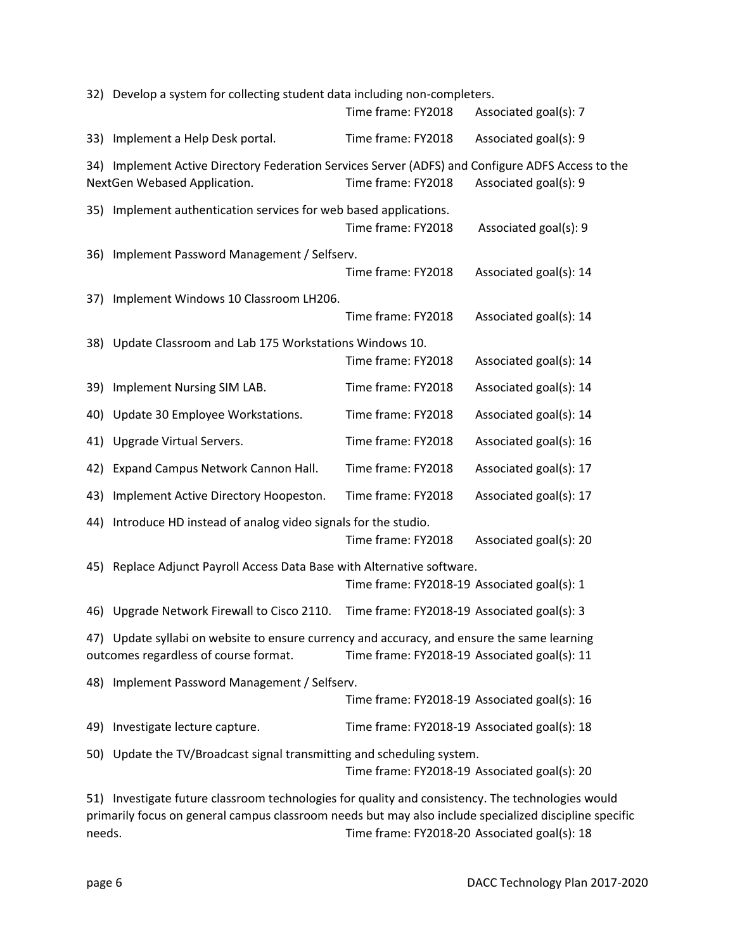|                                                                                                                                                                                                             | 32) Develop a system for collecting student data including non-completers.                                                                                                           | Time frame: FY2018                           | Associated goal(s): 7  |  |  |  |
|-------------------------------------------------------------------------------------------------------------------------------------------------------------------------------------------------------------|--------------------------------------------------------------------------------------------------------------------------------------------------------------------------------------|----------------------------------------------|------------------------|--|--|--|
| 33)                                                                                                                                                                                                         | Implement a Help Desk portal.                                                                                                                                                        | Time frame: FY2018                           | Associated goal(s): 9  |  |  |  |
| 34)                                                                                                                                                                                                         | Implement Active Directory Federation Services Server (ADFS) and Configure ADFS Access to the<br>NextGen Webased Application.                                                        | Time frame: FY2018                           | Associated goal(s): 9  |  |  |  |
| 35)                                                                                                                                                                                                         | Implement authentication services for web based applications.                                                                                                                        | Time frame: FY2018                           | Associated goal(s): 9  |  |  |  |
| 36)                                                                                                                                                                                                         | Implement Password Management / Selfserv.                                                                                                                                            | Time frame: FY2018                           | Associated goal(s): 14 |  |  |  |
| 37)                                                                                                                                                                                                         | Implement Windows 10 Classroom LH206.                                                                                                                                                | Time frame: FY2018                           | Associated goal(s): 14 |  |  |  |
|                                                                                                                                                                                                             | 38) Update Classroom and Lab 175 Workstations Windows 10.                                                                                                                            | Time frame: FY2018                           | Associated goal(s): 14 |  |  |  |
| 39)                                                                                                                                                                                                         | Implement Nursing SIM LAB.                                                                                                                                                           | Time frame: FY2018                           | Associated goal(s): 14 |  |  |  |
| 40)                                                                                                                                                                                                         | Update 30 Employee Workstations.                                                                                                                                                     | Time frame: FY2018                           | Associated goal(s): 14 |  |  |  |
| 41)                                                                                                                                                                                                         | Upgrade Virtual Servers.                                                                                                                                                             | Time frame: FY2018                           | Associated goal(s): 16 |  |  |  |
| 42)                                                                                                                                                                                                         | Expand Campus Network Cannon Hall.                                                                                                                                                   | Time frame: FY2018                           | Associated goal(s): 17 |  |  |  |
| 43)                                                                                                                                                                                                         | Implement Active Directory Hoopeston.                                                                                                                                                | Time frame: FY2018                           | Associated goal(s): 17 |  |  |  |
| 44)                                                                                                                                                                                                         | Introduce HD instead of analog video signals for the studio.                                                                                                                         | Time frame: FY2018                           | Associated goal(s): 20 |  |  |  |
| 45)                                                                                                                                                                                                         | Replace Adjunct Payroll Access Data Base with Alternative software.                                                                                                                  | Time frame: FY2018-19 Associated goal(s): 1  |                        |  |  |  |
|                                                                                                                                                                                                             | 46) Upgrade Network Firewall to Cisco 2110.                                                                                                                                          | Time frame: FY2018-19 Associated goal(s): 3  |                        |  |  |  |
|                                                                                                                                                                                                             | 47) Update syllabi on website to ensure currency and accuracy, and ensure the same learning<br>outcomes regardless of course format.<br>Time frame: FY2018-19 Associated goal(s): 11 |                                              |                        |  |  |  |
|                                                                                                                                                                                                             | 48) Implement Password Management / Selfserv.                                                                                                                                        | Time frame: FY2018-19 Associated goal(s): 16 |                        |  |  |  |
|                                                                                                                                                                                                             | 49) Investigate lecture capture.                                                                                                                                                     | Time frame: FY2018-19 Associated goal(s): 18 |                        |  |  |  |
|                                                                                                                                                                                                             | 50) Update the TV/Broadcast signal transmitting and scheduling system.                                                                                                               | Time frame: FY2018-19 Associated goal(s): 20 |                        |  |  |  |
| 51) Investigate future classroom technologies for quality and consistency. The technologies would<br>primarily focus on general campus classroom needs but may also include specialized discipline specific |                                                                                                                                                                                      |                                              |                        |  |  |  |

needs. Time frame: FY2018-20 Associated goal(s): 18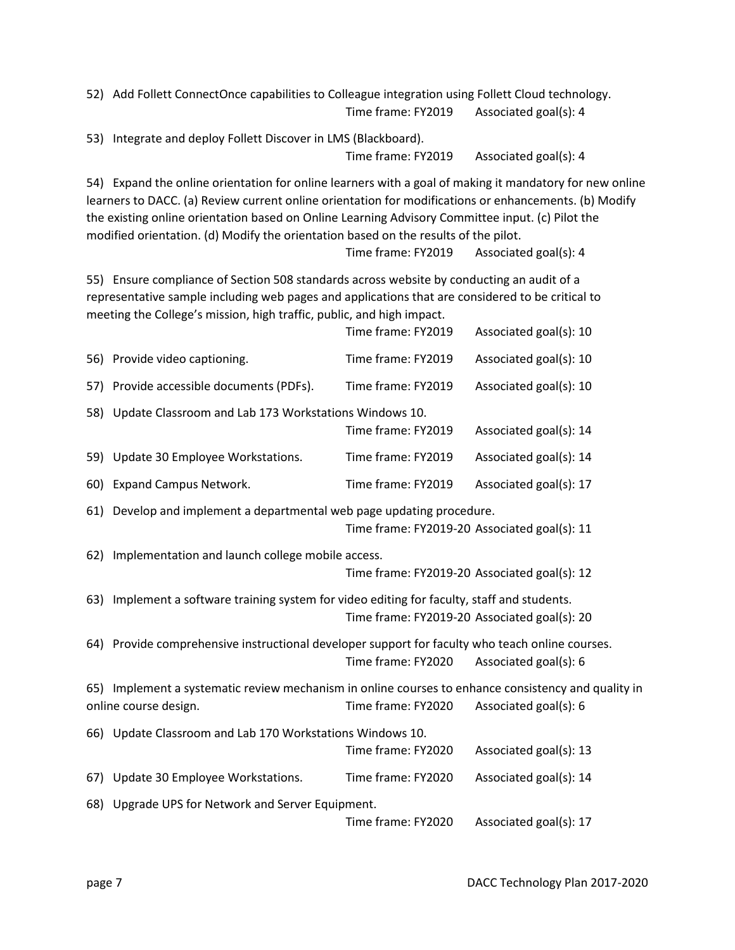52) Add Follett ConnectOnce capabilities to Colleague integration using Follett Cloud technology. Time frame: FY2019 Associated goal(s): 4

53) Integrate and deploy Follett Discover in LMS (Blackboard). Time frame: FY2019 Associated goal(s): 4

54) Expand the online orientation for online learners with a goal of making it mandatory for new online learners to DACC. (a) Review current online orientation for modifications or enhancements. (b) Modify the existing online orientation based on Online Learning Advisory Committee input. (c) Pilot the modified orientation. (d) Modify the orientation based on the results of the pilot.

Time frame: FY2019 Associated goal(s): 4

55) Ensure compliance of Section 508 standards across website by conducting an audit of a representative sample including web pages and applications that are considered to be critical to meeting the College's mission, high traffic, public, and high impact.

|     |                                                                                                     | Time frame: FY2019                           | Associated goal(s): 10 |  |  |
|-----|-----------------------------------------------------------------------------------------------------|----------------------------------------------|------------------------|--|--|
|     | 56) Provide video captioning.                                                                       | Time frame: FY2019                           | Associated goal(s): 10 |  |  |
|     | 57) Provide accessible documents (PDFs).                                                            | Time frame: FY2019                           | Associated goal(s): 10 |  |  |
|     | 58) Update Classroom and Lab 173 Workstations Windows 10.                                           |                                              |                        |  |  |
|     |                                                                                                     | Time frame: FY2019                           | Associated goal(s): 14 |  |  |
| 59) | Update 30 Employee Workstations.                                                                    | Time frame: FY2019                           | Associated goal(s): 14 |  |  |
|     | 60) Expand Campus Network.                                                                          | Time frame: FY2019                           | Associated goal(s): 17 |  |  |
|     | 61) Develop and implement a departmental web page updating procedure.                               |                                              |                        |  |  |
|     |                                                                                                     | Time frame: FY2019-20 Associated goal(s): 11 |                        |  |  |
|     | 62) Implementation and launch college mobile access.                                                |                                              |                        |  |  |
|     |                                                                                                     | Time frame: FY2019-20 Associated goal(s): 12 |                        |  |  |
|     | 63) Implement a software training system for video editing for faculty, staff and students.         |                                              |                        |  |  |
|     |                                                                                                     | Time frame: FY2019-20 Associated goal(s): 20 |                        |  |  |
|     | 64) Provide comprehensive instructional developer support for faculty who teach online courses.     |                                              |                        |  |  |
|     |                                                                                                     | Time frame: FY2020                           | Associated goal(s): 6  |  |  |
|     | 65) Implement a systematic review mechanism in online courses to enhance consistency and quality in |                                              |                        |  |  |
|     | online course design.                                                                               | Time frame: FY2020                           | Associated goal(s): 6  |  |  |
|     | 66) Update Classroom and Lab 170 Workstations Windows 10.                                           |                                              |                        |  |  |
|     |                                                                                                     | Time frame: FY2020                           | Associated goal(s): 13 |  |  |
|     | 67) Update 30 Employee Workstations.                                                                | Time frame: FY2020                           | Associated goal(s): 14 |  |  |
|     | 68) Upgrade UPS for Network and Server Equipment.                                                   |                                              |                        |  |  |
|     |                                                                                                     | Time frame: FY2020                           | Associated goal(s): 17 |  |  |
|     |                                                                                                     |                                              |                        |  |  |